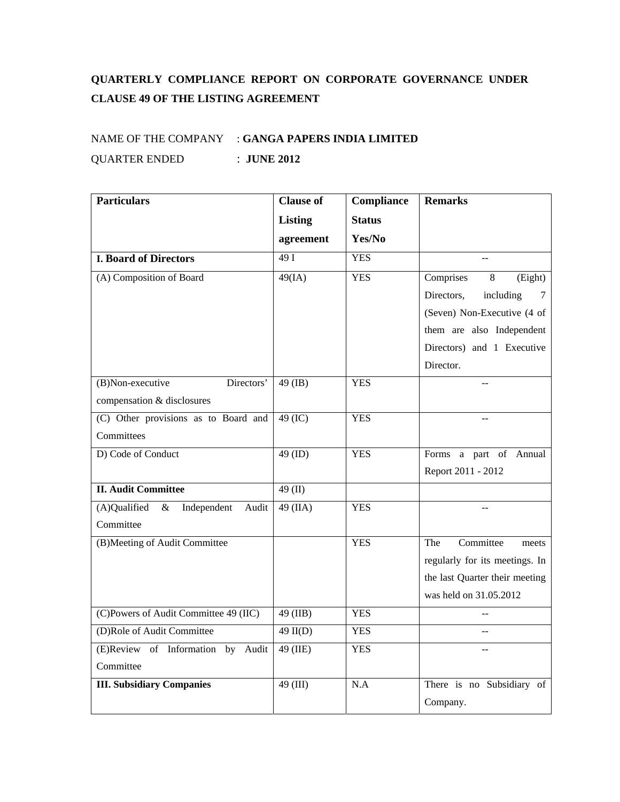## **QUARTERLY COMPLIANCE REPORT ON CORPORATE GOVERNANCE UNDER CLAUSE 49 OF THE LISTING AGREEMENT**

## NAME OF THE COMPANY : **GANGA PAPERS INDIA LIMITED** QUARTER ENDED : **JUNE 2012**

| <b>Particulars</b>                           | <b>Clause of</b> | Compliance    | <b>Remarks</b>                 |
|----------------------------------------------|------------------|---------------|--------------------------------|
|                                              | <b>Listing</b>   | <b>Status</b> |                                |
|                                              | agreement        | Yes/No        |                                |
| <b>I. Board of Directors</b>                 | 49I              | <b>YES</b>    |                                |
| (A) Composition of Board                     | 49(IA)           | <b>YES</b>    | Comprises<br>8<br>(Eight)      |
|                                              |                  |               | Directors,<br>including<br>7   |
|                                              |                  |               | (Seven) Non-Executive (4 of    |
|                                              |                  |               | them are also Independent      |
|                                              |                  |               | Directors) and 1 Executive     |
|                                              |                  |               | Director.                      |
| Directors'<br>(B)Non-executive               | $49$ (IB)        | <b>YES</b>    |                                |
| compensation & disclosures                   |                  |               |                                |
| (C) Other provisions as to Board and         | 49 (IC)          | <b>YES</b>    |                                |
| Committees                                   |                  |               |                                |
| D) Code of Conduct                           | 49 (ID)          | <b>YES</b>    | Forms a part of Annual         |
|                                              |                  |               | Report 2011 - 2012             |
| <b>II. Audit Committee</b>                   | 49 $(II)$        |               |                                |
| (A)Qualified<br>Independent<br>$\&$<br>Audit | 49 (IIA)         | <b>YES</b>    |                                |
| Committee                                    |                  |               |                                |
| (B)Meeting of Audit Committee                |                  | <b>YES</b>    | Committee<br>The<br>meets      |
|                                              |                  |               | regularly for its meetings. In |
|                                              |                  |               | the last Quarter their meeting |
|                                              |                  |               | was held on 31.05.2012         |
| (C)Powers of Audit Committee 49 (IIC)        | 49 (IIB)         | <b>YES</b>    |                                |
| (D)Role of Audit Committee                   | $49$ II(D)       | <b>YES</b>    |                                |
| (E)Review of Information by<br>Audit         | 49 (IIE)         | <b>YES</b>    |                                |
| Committee                                    |                  |               |                                |
| <b>III.</b> Subsidiary Companies             | 49 (III)         | N.A           | There is no Subsidiary of      |
|                                              |                  |               | Company.                       |